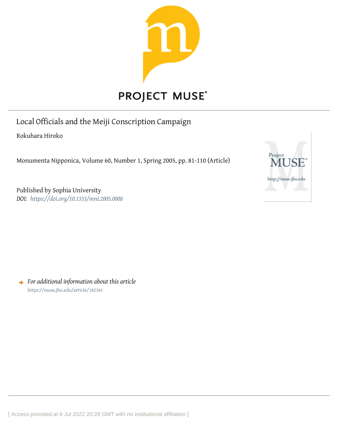

# Local Officials and the Meiji Conscription Campaign

Rokuhara Hiroko

Monumenta Nipponica, Volume 60, Number 1, Spring 2005, pp. 81-110 (Article)

Published by Sophia University *DOI: <https://doi.org/10.1353/mni.2005.0008>*



*For additional information about this article* <https://muse.jhu.edu/article/182361>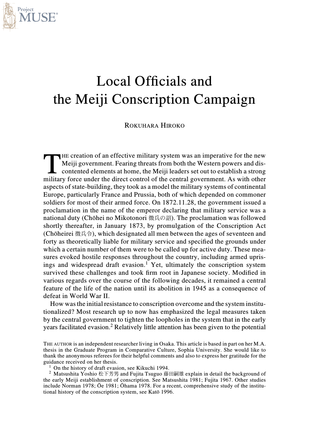

## Local Officials and the Meiji Conscription Campaign

ROKUHARA HIROKO

THE creation of an effective military system was an imperative for the new<br>Meiji government. Fearing threats from both the Western powers and dis-<br>contented elements at home, the Meiji leaders set out to establish a strong Meiji government. Fearing threats from both the Western powers and discontented elements at home, the Meiji leaders set out to establish a strong military force under the direct control of the central government. As with other aspects of state-building, they took as a model the military systems of continental Europe, particularly France and Prussia, both of which depended on commoner soldiers for most of their armed force. On 1872.11.28, the government issued a proclamation in the name of the emperor declaring that military service was a national duty (Chôhei no Mikotonori 徴兵の詔). The proclamation was followed shortly thereafter, in January 1873, by promulgation of the Conscription Act (Chôheirei 徴兵令), which designated all men between the ages of seventeen and forty as theoretically liable for military service and specified the grounds under which a certain number of them were to be called up for active duty. These measures evoked hostile responses throughout the country, including armed uprisings and widespread draft evasion.<sup>1</sup> Yet, ultimately the conscription system survived these challenges and took firm root in Japanese society. Modified in various regards over the course of the following decades, it remained a central feature of the life of the nation until its abolition in 1945 as a consequence of defeat in World War II.

How was the initial resistance to conscription overcome and the system institutionalized? Most research up to now has emphasized the legal measures taken by the central government to tighten the loopholes in the system that in the early years facilitated evasion.2 Relatively little attention has been given to the potential

THE AUTHOR is an independent researcher living in Osaka. This article is based in part on her M.A. thesis in the Graduate Program in Comparative Culture, Sophia University. She would like to thank the anonymous referees for their helpful comments and also to express her gratitude for the

<sup>1</sup> On the history of draft evasion, see Kikuchi 1994.<br><sup>2</sup> Matsushita Yoshio 松下芳男 and Fujita Tsuguo 藤田嗣雄 explain in detail the background of the early Meiji establishment of conscription. See Matsushita 1981; Fujita 1967. Other studies include Norman 1978; Ôe 1981; Ôhama 1978. For a recent, comprehensive study of the institutional history of the conscription system, see Katô 1996.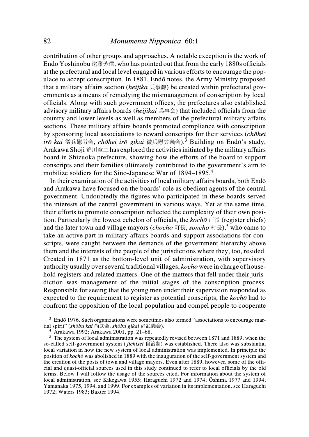contribution of other groups and approaches. A notable exception is the work of Endô Yoshinobu 遠藤芳信, who has pointed out that from the early 1880s officials at the prefectural and local level engaged in various efforts to encourage the populace to accept conscription. In 1881, Endô notes, the Army Ministry proposed that a military affairs section (heijika 兵事課) be created within prefectural governments as a means of remedying the mismanagement of conscription by local officials. Along with such government offices, the prefectures also established advisory military affairs boards (heijikai 兵事会) that included officials from the country and lower levels as well as members of the prefectural military affairs sections. These military affairs boards promoted compliance with conscription by sponsoring local associations to reward conscripts for their services (chohei irō kai 徵兵慰労会, chōhei irō gikai 徵兵慰労義会).<sup>3</sup> Building on Endō's study, Arakawa Shôji 荒川章二 has explored the activities initiated by the military affairs board in Shizuoka prefecture, showing how the efforts of the board to support conscripts and their families ultimately contributed to the government's aim to mobilize soldiers for the Sino-Japanese War of 1894–1895.<sup>4</sup>

In their examination of the activities of local military affairs boards, both Endô and Arakawa have focused on the boards' role as obedient agents of the central government. Undoubtedly the figures who participated in these boards served the interests of the central government in various ways. Yet at the same time, their efforts to promote conscription reflected the complexity of their own position. Particularly the lowest echelon of officials, the kochō  $\overline{P}$   $\overline{\mathbb{E}}$  (register chiefs) and the later town and village mayors (chocho 町長, soncho 村長),<sup>5</sup> who came to take an active part in military affairs boards and support associations for conscripts, were caught between the demands of the government hierarchy above them and the interests of the people of the jurisdictions where they, too, resided. Created in 1871 as the bottom-level unit of administration, with supervisory authority usually over several traditional villages, *kochō* were in charge of household registers and related matters. One of the matters that fell under their jurisdiction was management of the initial stages of the conscription process. Responsible for seeing that the young men under their supervision responded as expected to the requirement to register as potential conscripts, the  $koch\bar{o}$  had to confront the opposition of the local population and compel people to cooperate

<sup>3</sup> Endō 1976. Such organizations were sometimes also termed "associations to encourage mar-<br>tial spirit" (shōbu kai 尚武会, shōbu gikai 尚武義会).

 $4$  Arakawa 1992; Arakawa 2001, pp. 21–68.

<sup>5</sup> The system of local administration was repeatedly revised between 1871 and 1889, when the so-called self-government system ( jichisei 自治制) was established. There also was substantial local variation in how the new system of local administration was implemented. In principle the position of kochô was abolished in 1889 with the inauguration of the self-government system and the creation of the posts of town and village mayors. Even after 1889, however, some of the official and quasi-official sources used in this study continued to refer to local officials by the old terms. Below I will follow the usage of the sources cited. For information about the system of local administration, see Kikegawa 1955; Haraguchi 1972 and 1974; Ôshima 1977 and 1994; Yamanaka 1975, 1994, and 1999. For examples of variation in its implementation, see Haraguchi 1972; Waters 1983; Baxter 1994.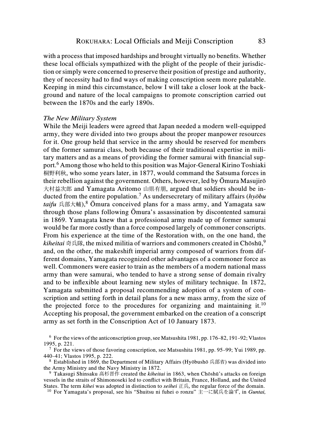with a process that imposed hardships and brought virtually no benefits. Whether these local officials sympathized with the plight of the people of their jurisdiction or simply were concerned to preserve their position of prestige and authority, they of necessity had to find ways of making conscription seem more palatable. Keeping in mind this circumstance, below I will take a closer look at the background and nature of the local campaigns to promote conscription carried out between the 1870s and the early 1890s.

## The New Military System

While the Meiji leaders were agreed that Japan needed a modern well-equipped army, they were divided into two groups about the proper manpower resources for it. One group held that service in the army should be reserved for members of the former samurai class, both because of their traditional expertise in military matters and as a means of providing the former samurai with financial support.6 Among those who held to this position was Major-General Kirino Toshiaki 桐野利秋, who some years later, in 1877, would command the Satsuma forces in their rebellion against the government. Others, however, led by Ômura Masujirô 大村益次郎 and Yamagata Aritomo 山県有朋, argued that soldiers should be inducted from the entire population.<sup>7</sup> As undersecretary of military affairs ( $hv\bar{o}bu$ ) taifu 兵部大輔),  $8 \overline{\text{O}}$ mura conceived plans for a mass army, and Yamagata saw through those plans following Ômura's assassination by discontented samurai in 1869. Yamagata knew that a professional army made up of former samurai would be far more costly than a force composed largely of commoner conscripts. From his experience at the time of the Restoration with, on the one hand, the kiheitai 奇兵隊, the mixed militia of warriors and commoners created in Chōshū,  $9$ and, on the other, the makeshift imperial army composed of warriors from different domains, Yamagata recognized other advantages of a commoner force as well. Commoners were easier to train as the members of a modern national mass army than were samurai, who tended to have a strong sense of domain rivalry and to be inflexible about learning new styles of military technique. In 1872, Yamagata submitted a proposal recommending adoption of a system of conscription and setting forth in detail plans for a new mass army, from the size of the projected force to the procedures for organizing and maintaining it.<sup>10</sup> Accepting his proposal, the government embarked on the creation of a conscript army as set forth in the Conscription Act of 10 January 1873.

<sup>10</sup> For Yamagata's proposal, see his "Shuitsu ni fuhei o ronzu" 主一に賦兵を論ず, in Guntai,

<sup>&</sup>lt;sup>6</sup> For the views of the anticonscription group, see Matsushita 1981, pp. 176–82, 191–92; Vlastos 1995, p. 221.

<sup>&</sup>lt;sup>7</sup> For the views of those favoring conscription, see Matsushita 1981, pp. 95–99; Yui 1989, pp. 440–41; Vlastos 1995, p. 222.

<sup>&</sup>lt;sup>8</sup> Established in 1869, the Department of Military Affairs (Hyōbushō 兵部省) was divided into the Army Ministry and the Navy Ministry in 1872.

<sup>&</sup>lt;sup>9</sup> Takasugi Shinsaku 高杉晋作 created the *kiheitai* in 1863, when Chōshū's attacks on foreign vessels in the straits of Shimonoseki led to conflict with Britain, France, Holland, and the United States. The term *kihei* was adopted in distinction to *seihei*  $E$ , the regular force of the domain.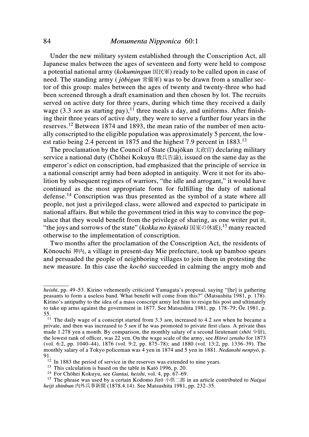Under the new military system established through the Conscription Act, all Japanese males between the ages of seventeen and forty were held to compose a potential national army (*kokumingun* 国民軍) ready to be called upon in case of need. The standing army (*iōbigun* 常備軍) was to be drawn from a smaller sector of this group: males between the ages of twenty and twenty-three who had been screened through a draft examination and then chosen by lot. The recruits served on active duty for three years, during which time they received a daily wage (3.3 sen as starting pay),<sup>11</sup> three meals a day, and uniforms. After finishing their three years of active duty, they were to serve a further four years in the reserves.<sup>12</sup> Between 1874 and 1893, the mean ratio of the number of men actually conscripted to the eligible population was approximately 5 percent, the lowest ratio being 2.4 percent in 1875 and the highest 7.9 percent in 1883.<sup>13</sup>

The proclamation by the Council of State (Dajôkan 太政官) declaring military service a national duty (Chôhei Kokuyu 徴兵告諭), issued on the same day as the emperor's edict on conscription, had emphasized that the principle of service in a national conscript army had been adopted in antiquity. Were it not for its abolition by subsequent regimes of warriors, "the idle and arrogant," it would have continued as the most appropriate form for fulfilling the duty of national defense.<sup>14</sup> Conscription was thus presented as the symbol of a state where all people, not just a privileged class, were allowed and expected to participate in national affairs. But while the government tried in this way to convince the populace that they would benefit from the privilege of sharing, as one writer put it, "the joys and sorrows of the state" (kokka no kyūseki 国家の休戚),<sup>15</sup> many reacted otherwise to the implementation of conscription.

Two months after the proclamation of the Conscription Act, the residents of Kônouchi 神内, a village in present-day Mie prefecture, took up bamboo spears and persuaded the people of neighboring villages to join them in protesting the new measure. In this case the *koch*<sup> $\bar{\theta}$ </sup> succeeded in calming the angry mob and

heishi, pp. 49–53. Kirino vehemently criticized Yamagata's proposal, saying "[he] is gathering peasants to form a useless band. What benefit will come from this?" (Matsushita 1981, p. 178). Kirino's antipathy to the idea of a mass conscript army led him to resign his post and ultimately to take up arms against the government in 1877. See Matsushita 1981, pp. 178–79; Ôe 1981, p. 55.

<sup>&</sup>lt;sup>11</sup> The daily wage of a conscript started from 3.3 sen, increased to 4.2 sen when he became a private, and then was increased to 5 sen if he was promoted to private first class. A private thus made 1.278 yen a month. By comparison, the monthly salary of a second lieutenant (shōi  $\psi$ 尉), the lowest rank of officer, was 22 yen. On the wage scale of the army, see *Horei zensho* for 1873 (vol. 6:2, pp. 1040–44), 1876 (vol. 9:2, pp. 875–78); and 1880 (vol. 13:2, pp. 1336–39). The monthly salary of a Tokyo policeman was 4 yen in 1874 and 5 yen in 1881. Nedanshi nenpyō, p. 91.

<sup>&</sup>lt;sup>12</sup> In 1883 the period of service in the reserves was extended to nine years.<br><sup>13</sup> This calculation is based on the table in Katō 1996, p. 20.<br><sup>14</sup> For Chōhei Kokuyu, see *Guntai, heishi*, vol. 4, pp. 67–69.

<sup>&</sup>lt;sup>15</sup> The phrase was used by a certain Kodomo Jirō 小供二郎 in an article contributed to *Naigai* heiji shinbun 内外兵事新聞 (1878.4.14). See Matsushita 1981, pp. 232-35.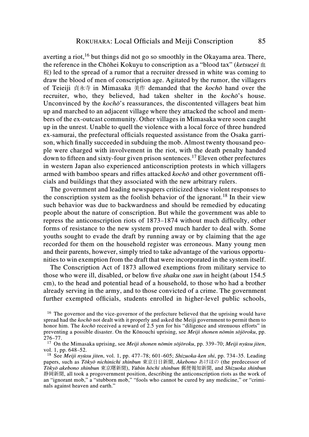averting a riot,  $^{16}$  but things did not go so smoothly in the Okayama area. There, the reference in the Chōhei Kokuyu to conscription as a "blood tax" (ketsuzei  $\ln$ ) 税) led to the spread of a rumor that a recruiter dressed in white was coming to draw the blood of men of conscription age. Agitated by the rumor, the villagers of Teieiji 貞永寺 in Mimasaka 美作 demanded that the kochô hand over the recruiter, who, they believed, had taken shelter in the kocho's house. Unconvinced by the  $koch\bar{o}$ 's reassurances, the discontented villagers beat him up and marched to an adjacent village where they attacked the school and members of the ex-outcast community. Other villages in Mimasaka were soon caught up in the unrest. Unable to quell the violence with a local force of three hundred ex-samurai, the prefectural officials requested assistance from the Osaka garrison, which finally succeeded in subduing the mob. Almost twenty thousand people were charged with involvement in the riot, with the death penalty handed  $\frac{1}{2}$  down to fifteen and sixty-four given prison sentences.<sup>17</sup> Eleven other prefectures in western Japan also experienced anticonscription protests in which villagers armed with bamboo spears and rifles attacked kochô and other government officials and buildings that they associated with the new arbitrary rulers.

The government and leading newspapers criticized these violent responses to the conscription system as the foolish behavior of the ignorant.<sup>18</sup> In their view such behavior was due to backwardness and should be remedied by educating people about the nature of conscription. But while the government was able to repress the anticonscription riots of 1873–1874 without much difficulty, other forms of resistance to the new system proved much harder to deal with. Some youths sought to evade the draft by running away or by claiming that the age recorded for them on the household register was erroneous. Many young men and their parents, however, simply tried to take advantage of the various opportunities to win exemption from the draft that were incorporated in the system itself.

The Conscription Act of 1873 allowed exemptions from military service to those who were ill, disabled, or below five *shaku* one *sun* in height (about 154.5) cm), to the head and potential head of a household, to those who had a brother already serving in the army, and to those convicted of a crime. The government further exempted officials, students enrolled in higher-level public schools,

<sup>&</sup>lt;sup>16</sup> The governor and the vice-governor of the prefecture believed that the uprising would have spread had the *kochō* not dealt with it properly and asked the Meiji government to permit them to honor him. The kochō received a reward of 2.5 yen for his "diligence and strenuous efforts" in preventing a possible disaster. On the Kōnouchi uprising, see Meiji shonen nōmin sōjōroku, pp. 276–77.

<sup>&</sup>lt;sup>17</sup> On the Mimasaka uprising, see Meiji shonen nōmin sōjōroku, pp. 339-70; Meiji nyūsu jiten, vol. 1, pp. 648–52.

 $18$  See Meiji nyūsu jiten, vol. 1, pp. 477-78; 601-605; Shizuoka-ken shi, pp. 734-35. Leading papers, such as *Tōkyō nichinichi shinbun* 東京日日新聞, *Akebono あ*けほの (the predecessor of Tôkyô akebono shinbun 東京曙新聞), Yûbin hôchi shinbun 郵便報知新聞, and Shizuoka shinbun 静岡新聞, all took a progovernment position, describing the anticonscription riots as the work of an "ignorant mob," a "stubborn mob," "fools who cannot be cured by any medicine," or "criminals against heaven and earth."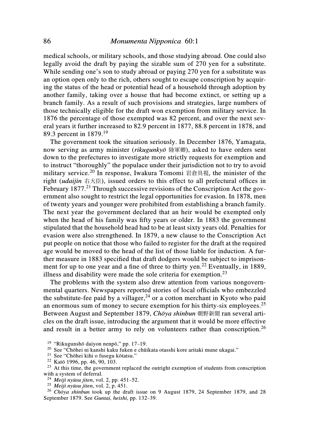medical schools, or military schools, and those studying abroad. One could also legally avoid the draft by paying the sizable sum of 270 yen for a substitute. While sending one's son to study abroad or paying 270 yen for a substitute was an option open only to the rich, others sought to escape conscription by acquiring the status of the head or potential head of a household through adoption by another family, taking over a house that had become extinct, or setting up a branch family. As a result of such provisions and strategies, large numbers of those technically eligible for the draft won exemption from military service. In 1876 the percentage of those exempted was 82 percent, and over the next several years it further increased to 82.9 percent in 1877, 88.8 percent in 1878, and 89.3 percent in 1879.19

The government took the situation seriously. In December 1876, Yamagata, now serving as army minister (rikugunkyō 陸軍卿), asked to have orders sent down to the prefectures to investigate more strictly requests for exemption and to instruct "thoroughly" the populace under their jurisdiction not to try to avoid military service.<sup>20</sup> In response, Iwakura Tomomi 岩倉具視, the minister of the right (udaijin 右大臣), issued orders to this effect to all prefectural offices in February 1877.<sup>21</sup> Through successive revisions of the Conscription Act the government also sought to restrict the legal opportunities for evasion. In 1878, men of twenty years and younger were prohibited from establishing a branch family. The next year the government declared that an heir would be exempted only when the head of his family was fifty years or older. In 1883 the government stipulated that the household head had to be at least sixty years old. Penalties for evasion were also strengthened. In 1879, a new clause to the Conscription Act put people on notice that those who failed to register for the draft at the required age would be moved to the head of the list of those liable for induction. A further measure in 1883 specified that draft dodgers would be subject to imprisonment for up to one year and a fine of three to thirty yen.<sup>22</sup> Eventually, in 1889. illness and disability were made the sole criteria for exemption.<sup>23</sup>

The problems with the system also drew attention from various nongovernmental quarters. Newspapers reported stories of local officials who embezzled the substitute-fee paid by a villager,  $^{24}$  or a cotton merchant in Kyoto who paid an enormous sum of money to secure exemption for his thirty-six employees.<sup>25</sup> Between August and September 1879, Chōya shinbun 朝野新聞 ran several articles on the draft issue, introducing the argument that it would be more effective and result in a better army to rely on volunteers rather than conscription.<sup>26</sup>

<sup>&</sup>lt;sup>19</sup> "Rikugunshō daiyon nenpō," pp. 17-19.<br><sup>20</sup> See "Chōhei ni kanshi kaku fuken e chūikata otasshi kore aritaki mune ukagai."<br><sup>21</sup> See "Chōhei kihi o fusegu kōtatsu."<br><sup>22</sup> Katō 1996, pp. 46, 90, 103.<br><sup>23</sup> At this time, t with a system of deferral.

<sup>&</sup>lt;sup>24</sup> Meiji nyūsu jiten, vol. 2, pp. 451–52.<br><sup>25</sup> Meiji nyūsu jiten, vol. 2, p. 451.

<sup>&</sup>lt;sup>26</sup> Choya shinbun took up the draft issue on 9 August 1879, 24 September 1879, and 28 September 1879. See Guntai, heishi, pp. 132–39.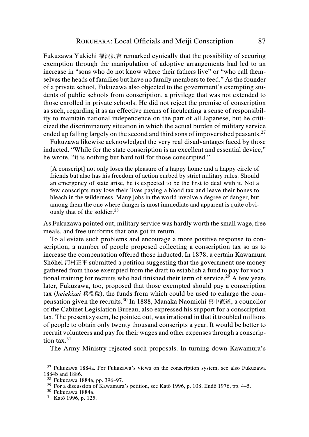Fukuzawa Yukichi 福沢沢吉 remarked cynically that the possibility of securing exemption through the manipulation of adoptive arrangements had led to an increase in "sons who do not know where their fathers live" or "who call themselves the heads of families but have no family members to feed." As the founder of a private school, Fukuzawa also objected to the government's exempting students of public schools from conscription, a privilege that was not extended to those enrolled in private schools. He did not reject the premise of conscription as such, regarding it as an effective means of inculcating a sense of responsibility to maintain national independence on the part of all Japanese, but he criticized the discriminatory situation in which the actual burden of military service ended up falling largely on the second and third sons of impoverished peasants.<sup>27</sup>

Fukuzawa likewise acknowledged the very real disadvantages faced by those inducted. "While for the state conscription is an excellent and essential device," he wrote, "it is nothing but hard toil for those conscripted."

[A conscript] not only loses the pleasure of a happy home and a happy circle of friends but also has his freedom of action curbed by strict military rules. Should an emergency of state arise, he is expected to be the first to deal with it. Not a few conscripts may lose their lives paying a blood tax and leave their bones to bleach in the wilderness. Many jobs in the world involve a degree of danger, but among them the one where danger is most immediate and apparent is quite obviously that of the soldier.<sup>28</sup>

As Fukuzawa pointed out, military service was hardly worth the small wage, free meals, and free uniforms that one got in return.

To alleviate such problems and encourage a more positive response to conscription, a number of people proposed collecting a conscription tax so as to increase the compensation offered those inducted. In 1878, a certain Kawamura Shôhei 河村正平 submitted a petition suggesting that the government use money gathered from those exempted from the draft to establish a fund to pay for vocational training for recruits who had finished their term of service.<sup>29</sup> A few years later, Fukuzawa, too, proposed that those exempted should pay a conscription tax (heiekizei 兵役税), the funds from which could be used to enlarge the compensation given the recruits.<sup>30</sup> In 1888, Manaka Naomichi 真中直道, a councilor of the Cabinet Legislation Bureau, also expressed his support for a conscription tax. The present system, he pointed out, was irrational in that it troubled millions of people to obtain only twenty thousand conscripts a year. It would be better to recruit volunteers and pay for their wages and other expenses through a conscription tax<sup>31</sup>

The Army Ministry rejected such proposals. In turning down Kawamura's

 $27$  Fukuzawa 1884a. For Fukuzawa's views on the conscription system, see also Fukuzawa 1884b and 1886.<br><sup>28</sup> Fukuzawa 1884a, pp. 396–97.

<sup>&</sup>lt;sup>29</sup> For a discussion of Kawamura's petition, see Katō 1996, p. 108; Endō 1976, pp. 4–5.<br><sup>30</sup> Fukuzawa 1884a.<br><sup>31</sup> Katō 1996, p. 125.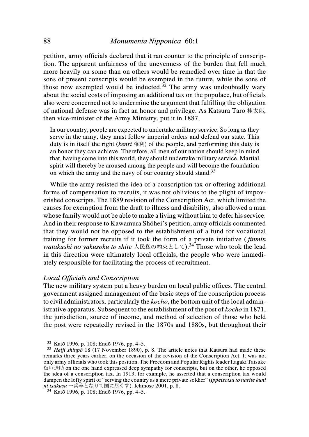petition, army officials declared that it ran counter to the principle of conscription. The apparent unfairness of the unevenness of the burden that fell much more heavily on some than on others would be remedied over time in that the sons of present conscripts would be exempted in the future, while the sons of those now exempted would be inducted.<sup>32</sup> The army was undoubtedly wary about the social costs of imposing an additional tax on the populace, but officials also were concerned not to undermine the argument that fulfilling the obligation of national defense was in fact an honor and privilege. As Katsura Tarô 桂太郎, then vice-minister of the Army Ministry, put it in 1887,

In our country, people are expected to undertake military service. So long as they serve in the army, they must follow imperial orders and defend our state. This duty is in itself the right (kenri 権利) of the people, and performing this duty is an honor they can achieve. Therefore, all men of our nation should keep in mind that, having come into this world, they should undertake military service. Martial spirit will thereby be aroused among the people and will become the foundation on which the army and the navy of our country should stand.<sup>33</sup>

While the army resisted the idea of a conscription tax or offering additional forms of compensation to recruits, it was not oblivious to the plight of impoverished conscripts. The 1889 revision of the Conscription Act, which limited the causes for exemption from the draft to illness and disability, also allowed a man whose family would not be able to make a living without him to defer his service. And in their response to Kawamura Shôhei's petition, army officials commented that they would not be opposed to the establishment of a fund for vocational training for former recruits if it took the form of a private initiative ( jinmin watakushi no yakusoku to shite 人民私の約束として).<sup>34</sup> Those who took the lead in this direction were ultimately local officials, the people who were immediately responsible for facilitating the process of recruitment.

## Local Officials and Conscription

The new military system put a heavy burden on local public offices. The central government assigned management of the basic steps of the conscription process to civil administrators, particularly the  $koch\bar{o}$ , the bottom unit of the local administrative apparatus. Subsequent to the establishment of the post of  $koch\bar{o}$  in 1871, the jurisdiction, source of income, and method of selection of those who held the post were repeatedly revised in the 1870s and 1880s, but throughout their

<sup>&</sup>lt;sup>32</sup> Katō 1996, p. 108; Endō 1976, pp. 4–5.<br><sup>33</sup> Heiji shinpō 18 (17 November 1890), p. 8. The article notes that Katsura had made these remarks three years earlier, on the occasion of the revision of the Conscription Act. It was not only army officials who took this position. The Freedom and Popular Rights leader Itagaki Taisuke 板垣退助 on the one hand expressed deep sympathy for conscripts, but on the other, he opposed the idea of a conscription tax. In 1913, for example, he asserted that a conscription tax would dampen the lofty spirit of "serving the country as a mere private soldier" *(ippeisotsu to narite kuni*)  $ni$  tsukusu 一兵卒となりて国に尽くす). Ichinose 2001, p. 8.<br><sup>34</sup> Katō 1996, p. 108; Endō 1976, pp. 4–5.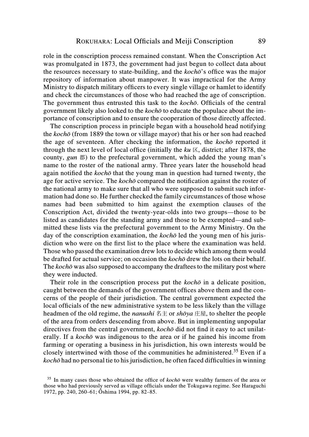role in the conscription process remained constant. When the Conscription Act was promulgated in 1873, the government had just begun to collect data about the resources necessary to state-building, and the kochô's office was the major repository of information about manpower. It was impractical for the Army Ministry to dispatch military officers to every single village or hamlet to identify and check the circumstances of those who had reached the age of conscription. The government thus entrusted this task to the *koch*<sub> $\bar{o}$ </sub>. Officials of the central government likely also looked to the  $koch\bar{o}$  to educate the populace about the importance of conscription and to ensure the cooperation of those directly affected.

The conscription process in principle began with a household head notifying the kochô (from 1889 the town or village mayor) that his or her son had reached the age of seventeen. After checking the information, the kocho reported it through the next level of local office (initially the  $ku \mathbb{E}$ , district; after 1878, the county, *gun* 郡) to the prefectural government, which added the young man's name to the roster of the national army. Three years later the household head again notified the kochô that the young man in question had turned twenty, the age for active service. The *koch*<sup> $\bar{o}$ </sup> compared the notification against the roster of the national army to make sure that all who were supposed to submit such information had done so. He further checked the family circumstances of those whose names had been submitted to him against the exemption clauses of the Conscription Act, divided the twenty-year-olds into two groups—those to be listed as candidates for the standing army and those to be exempted—and submitted these lists via the prefectural government to the Army Ministry. On the day of the conscription examination, the  $koch\bar{o}$  led the young men of his jurisdiction who were on the first list to the place where the examination was held. Those who passed the examination drew lots to decide which among them would be drafted for actual service; on occasion the  $koch\bar{o}$  drew the lots on their behalf. The kochō was also supposed to accompany the draftees to the military post where they were inducted.

Their role in the conscription process put the  $koch\bar{o}$  in a delicate position, caught between the demands of the government offices above them and the concerns of the people of their jurisdiction. The central government expected the local officials of the new administrative system to be less likely than the village headmen of the old regime, the *nanushi*  $4 \pm \pi$  or *shōya*  $\pm \pm \pi$ , to shelter the people of the area from orders descending from above. But in implementing unpopular directives from the central government,  $koch\bar{o}$  did not find it easy to act unilaterally. If a *kochō* was indigenous to the area or if he gained his income from farming or operating a business in his jurisdiction, his own interests would be closely intertwined with those of the communities he administered.<sup>35</sup> Even if a  $koch\bar{o}$  had no personal tie to his jurisdiction, he often faced difficulties in winning

 $35$  In many cases those who obtained the office of *koch* $\bar{o}$  were wealthy farmers of the area or those who had previously served as village officials under the Tokugawa regime. See Haraguchi 1972, pp. 240, 260–61; Ôshima 1994, pp. 82–85.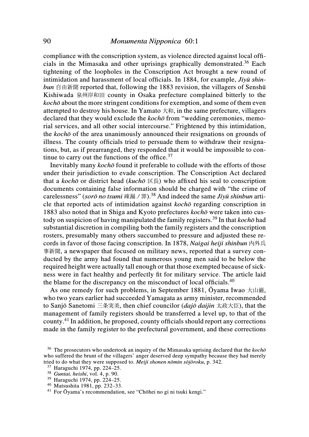compliance with the conscription system, as violence directed against local officials in the Mimasaka and other uprisings graphically demonstrated.<sup>36</sup> Each tightening of the loopholes in the Conscription Act brought a new round of intimidation and harassment of local officials. In 1884, for example, *Jivū shin*bun 自由新聞 reported that, following the 1883 revision, the villagers of Senshū Kishiwada 泉州岸和田 county in Osaka prefecture complained bitterly to the kochô about the more stringent conditions for exemption, and some of them even attempted to destroy his house. In Yamato  $\pm \pi$ , in the same prefecture, villagers declared that they would exclude the *koch*<sup> $\bar{o}$ </sup> from "wedding ceremonies, memorial services, and all other social intercourse." Frightened by this intimidation, the kochô of the area unanimously announced their resignations on grounds of illness. The county officials tried to persuade them to withdraw their resignations, but, as if prearranged, they responded that it would be impossible to continue to carry out the functions of the office.<sup>37</sup>

Inevitably many kochô found it preferable to collude with the efforts of those under their jurisdiction to evade conscription. The Conscription Act declared that a kochō or district head (kuchō  $\boxtimes \text{R}$ ) who affixed his seal to conscription documents containing false information should be charged with "the crime of carelessness" (sorō no tsumi 疎漏 / 罪).<sup>38</sup> And indeed the same *Jivū shinbun* article that reported acts of intimidation against  $koch\bar{o}$  regarding conscription in 1883 also noted that in Shiga and Kyoto prefectures kochô were taken into custody on suspicion of having manipulated the family registers.<sup>39</sup> In that *koch* $\bar{\rho}$  had substantial discretion in compiling both the family registers and the conscription rosters, presumably many others succumbed to pressure and adjusted these records in favor of those facing conscription. In 1878, Naigai heiji shinbun 内外兵 事新聞, a newspaper that focused on military news, reported that a survey conducted by the army had found that numerous young men said to be below the required height were actually tall enough or that those exempted because of sickness were in fact healthy and perfectly fit for military service. The article laid the blame for the discrepancy on the misconduct of local officials.<sup>40</sup>

As one remedy for such problems, in September 1881, Ōyama Iwao 大山巌, who two years earlier had succeeded Yamagata as army minister, recommended to Sanjō Sanetomi 三条実美, then chief councilor (dajō daijin 太政大臣), that the management of family registers should be transferred a level up, to that of the county.41 In addition, he proposed, county officials should report any corrections made in the family register to the prefectural government, and these corrections

 $36$  The prosecutors who undertook an inquiry of the Mimasaka uprising declared that the kocho who suffered the brunt of the villagers' anger deserved deep sympathy because they had merely tried to do what they were supposed to. *Meiji shonen nomin sojoroku*, p. 342.<br><sup>37</sup> Haraguchi 1974, pp. 224–25.<br><sup>38</sup> *Guntai, heishi*, vol. 4, p. 90.<br><sup>39</sup> Haraguchi 1974, pp. 224–25.<br><sup>40</sup> Matsushita 1981, pp. 232–33.<br><sup>41</sup>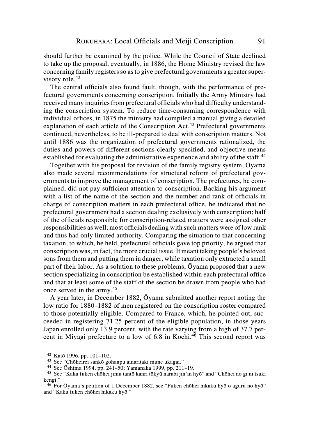should further be examined by the police. While the Council of State declined to take up the proposal, eventually, in 1886, the Home Ministry revised the law concerning family registers so as to give prefectural governments a greater supervisory role.<sup>42</sup>

The central officials also found fault, though, with the performance of prefectural governments concerning conscription. Initially the Army Ministry had received many inquiries from prefectural officials who had difficulty understanding the conscription system. To reduce time-consuming correspondence with individual offices, in 1875 the ministry had compiled a manual giving a detailed explanation of each article of the Conscription Act.<sup>43</sup> Prefectural governments continued, nevertheless, to be ill-prepared to deal with conscription matters. Not until 1886 was the organization of prefectural governments rationalized, the duties and powers of different sections clearly specified, and objective means established for evaluating the administrative experience and ability of the staff.<sup>44</sup>

Together with his proposal for revision of the family registry system, Ôyama also made several recommendations for structural reform of prefectural governments to improve the management of conscription. The prefectures, he complained, did not pay sufficient attention to conscription. Backing his argument with a list of the name of the section and the number and rank of officials in charge of conscription matters in each prefectural office, he indicated that no prefectural government had a section dealing exclusively with conscription; half of the officials responsible for conscription-related matters were assigned other responsibilities as well; most officials dealing with such matters were of low rank and thus had only limited authority. Comparing the situation to that concerning taxation, to which, he held, prefectural officials gave top priority, he argued that conscription was, in fact, the more crucial issue. It meant taking people's beloved sons from them and putting them in danger, while taxation only extracted a small part of their labor. As a solution to these problems, Ôyama proposed that a new section specializing in conscription be established within each prefectural office and that at least some of the staff of the section be drawn from people who had once served in the army.45

A year later, in December 1882, Ôyama submitted another report noting the low ratio for 1880–1882 of men registered on the conscription roster compared to those potentially eligible. Compared to France, which, he pointed out, succeeded in registering 71.25 percent of the eligible population, in those years Japan enrolled only 13.9 percent, with the rate varying from a high of 37.7 percent in Miyagi prefecture to a low of 6.8 in Kōchi.<sup>46</sup> This second report was

<sup>&</sup>lt;sup>42</sup> Katō 1996, pp. 101–102.<br><sup>43</sup> See "Chōheirei sankō gohanpu ainaritaki mune ukagai."<br><sup>44</sup> See Ōshima 1994, pp. 241–50; Yamanaka 1999, pp. 211–19.

<sup>&</sup>lt;sup>45</sup> See "Kaku fuken chôhei jimu tantō kanri tōkyū narabi jin'in hyō" and "Chōhei no gi ni tsuki kengi."

 $^{46}$  For Ōyama's petition of 1 December 1882, see "Fuken chōhei hikaku hyō o aguru no hyō" and "Kaku fuken chôhei hikaku hyô."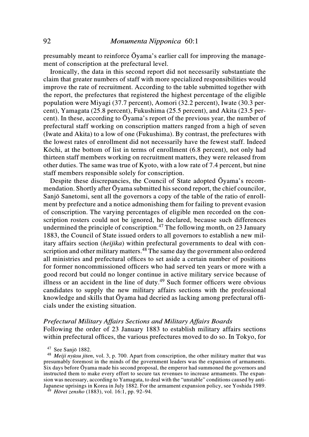presumably meant to reinforce Ôyama's earlier call for improving the management of conscription at the prefectural level.

Ironically, the data in this second report did not necessarily substantiate the claim that greater numbers of staff with more specialized responsibilities would improve the rate of recruitment. According to the table submitted together with the report, the prefectures that registered the highest percentage of the eligible population were Miyagi (37.7 percent), Aomori (32.2 percent), Iwate (30.3 percent), Yamagata (25.8 percent), Fukushima (25.5 percent), and Akita (23.5 percent). In these, according to Ôyama's report of the previous year, the number of prefectural staff working on conscription matters ranged from a high of seven (Iwate and Akita) to a low of one (Fukushima). By contrast, the prefectures with the lowest rates of enrollment did not necessarily have the fewest staff. Indeed Kôchi, at the bottom of list in terms of enrollment (6.8 percent), not only had thirteen staff members working on recruitment matters, they were released from other duties. The same was true of Kyoto, with a low rate of 7.4 percent, but nine staff members responsible solely for conscription.

Despite these discrepancies, the Council of State adopted Ôyama's recommendation. Shortly after Ôyama submitted his second report, the chief councilor, Sanjô Sanetomi, sent all the governors a copy of the table of the ratio of enrollment by prefecture and a notice admonishing them for failing to prevent evasion of conscription. The varying percentages of eligible men recorded on the conscription rosters could not be ignored, he declared, because such differences undermined the principle of conscription.<sup>47</sup> The following month, on 23 January 1883, the Council of State issued orders to all governors to establish a new military affairs section *(heijika)* within prefectural governments to deal with conscription and other military matters.  $48$  The same day the government also ordered all ministries and prefectural offices to set aside a certain number of positions for former noncommissioned officers who had served ten years or more with a good record but could no longer continue in active military service because of illness or an accident in the line of duty. $49$  Such former officers were obvious candidates to supply the new military affairs sections with the professional knowledge and skills that Ôyama had decried as lacking among prefectural officials under the existing situation.

#### Prefectural Military Affairs Sections and Military Affairs Boards

Following the order of 23 January 1883 to establish military affairs sections within prefectural offices, the various prefectures moved to do so. In Tokyo, for

<sup>&</sup>lt;sup>47</sup> See Sanjō 1882.<br><sup>48</sup> Meiji nyūsu jiten, vol. 3, p. 700. Apart from conscription, the other military matter that was presumably foremost in the minds of the government leaders was the expansion of armaments. Six days before Ôyama made his second proposal, the emperor had summoned the governors and instructed them to make every effort to secure tax revenues to increase armaments. The expansion was necessary, according to Yamagata, to deal with the "unstable" conditions caused by anti-Japanese uprisings in Korea in July 1882. For the armament expansion policy, see Yoshida 1989.

 $^{49}$  Hōrei zensho (1883), vol. 16:1, pp. 92–94.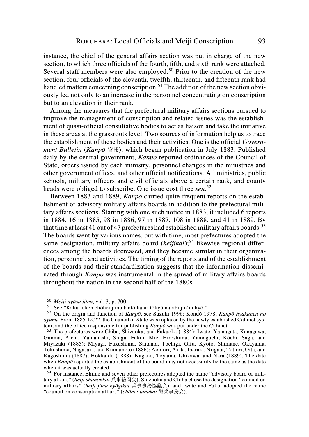instance, the chief of the general affairs section was put in charge of the new section, to which three officials of the fourth, fifth, and sixth rank were attached. Several staff members were also employed.<sup>50</sup> Prior to the creation of the new section, four officials of the eleventh, twelfth, thirteenth, and fifteenth rank had handled matters concerning conscription.<sup>51</sup> The addition of the new section obviously led not only to an increase in the personnel concentrating on conscription but to an elevation in their rank.

Among the measures that the prefectural military affairs sections pursued to improve the management of conscription and related issues was the establishment of quasi-official consultative bodies to act as liaison and take the initiative in these areas at the grassroots level. Two sources of information help us to trace the establishment of these bodies and their activities. One is the official Government Bulletin (Kanpō 官報), which began publication in July 1883. Published daily by the central government, Kanpō reported ordinances of the Council of State, orders issued by each ministry, personnel changes in the ministries and other government offices, and other official notifications. All ministries, public schools, military officers and civil officials above a certain rank, and county heads were obliged to subscribe. One issue cost three sen.<sup>52</sup>

Between 1883 and 1889, Kanpō carried quite frequent reports on the establishment of advisory military affairs boards in addition to the prefectural military affairs sections. Starting with one such notice in 1883, it included 6 reports in 1884, 16 in 1885, 98 in 1886, 97 in 1887, 108 in 1888, and 41 in 1889. By that time at least 41 out of 47 prefectures had established military affairs boards.<sup>53</sup> The boards went by various names, but with time, most prefectures adopted the same designation, military affairs board (heijikai);<sup>54</sup> likewise regional differences among the boards decreased, and they became similar in their organization, personnel, and activities. The timing of the reports and of the establishment of the boards and their standardization suggests that the information disseminated through Kanpô was instrumental in the spread of military affairs boards throughout the nation in the second half of the 1880s.

<sup>54</sup> For instance, Ehime and seven other prefectures adopted the name "advisory board of military affairs" (heiji shimonkai 兵事諮問会), Shizuoka and Chiba chose the designation "council on military affairs" (heiji jimu kyōgikai 兵事事務協議会), and Iwate and Fukui adopted the name "council on conscription affairs" (chôhei jimukai 徴兵事務会).

 $50$  Meiji nyūsu jiten, vol. 3, p. 700.

<sup>51</sup> See "Kaku fuken chôhei jimu tantô kanri tôkyû narabi jin'in hyô."

<sup>&</sup>lt;sup>52</sup> On the origin and function of Kanpō, see Suzuki 1996; Kondō 1978; Kanpō hyakunen no ayumi. From 1885.12.22, the Council of State was replaced by the newly established Cabinet system, and the office responsible for publishing  $Kanp\bar{o}$  was put under the Cabinet.

<sup>53</sup> The prefectures were Chiba, Shizuoka, and Fukuoka (1884); Iwate, Yamagata, Kanagawa, Gunma, Aichi, Yamanashi, Shiga, Fukui, Mie, Hiroshima, Yamaguchi, Kôchi, Saga, and Miyazaki (1885); Miyagi, Fukushima, Saitama, Tochigi, Gifu, Kyoto, Shimane, Okayama, Tokushima, Nagasaki, and Kumamoto (1886); Aomori, Akita, Ibaraki, Niigata, Tottori, Ôita, and Kagoshima (1887); Hokkaido (1888); Nagano, Toyama, Ishikawa, and Nara (1889). The date when  $Kanp\bar{o}$  reported the establishment of the board may not necessarily be the same as the date when it was actually created.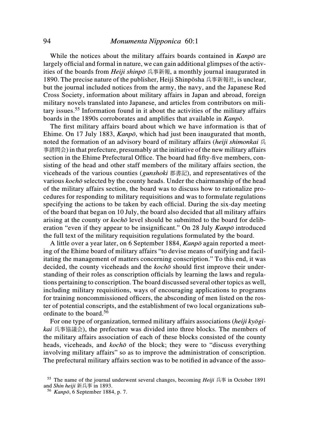While the notices about the military affairs boards contained in Kanpō are largely official and formal in nature, we can gain additional glimpses of the activities of the boards from *Heiji shinpō* 兵事新報, a monthly journal inaugurated in 1890. The precise nature of the publisher, Heiji Shinpôsha 兵事新報社, is unclear, but the journal included notices from the army, the navy, and the Japanese Red Cross Society, information about military affairs in Japan and abroad, foreign military novels translated into Japanese, and articles from contributors on military issues.<sup>55</sup> Information found in it about the activities of the military affairs boards in the 1890s corroborates and amplifies that available in Kanpô.

The first military affairs board about which we have information is that of Ehime. On 17 July 1883, Kanpô, which had just been inaugurated that month, noted the formation of an advisory board of military affairs (heiji shimonkai 兵 事諮問会) in that prefecture, presumably at the initiative of the new military affairs section in the Ehime Prefectural Office. The board had fifty-five members, consisting of the head and other staff members of the military affairs section, the viceheads of the various counties (gunshoki 郡書記), and representatives of the various kochô selected by the county heads. Under the chairmanship of the head of the military affairs section, the board was to discuss how to rationalize procedures for responding to military requisitions and was to formulate regulations specifying the actions to be taken by each official. During the six-day meeting of the board that began on 10 July, the board also decided that all military affairs arising at the county or  $koch\bar{o}$  level should be submitted to the board for deliberation "even if they appear to be insignificant." On 28 July Kanpō introduced the full text of the military requisition regulations formulated by the board.

A little over a year later, on 6 September 1884, Kanpô again reported a meeting of the Ehime board of military affairs "to devise means of unifying and facilitating the management of matters concerning conscription." To this end, it was decided, the county viceheads and the  $koch\bar{o}$  should first improve their understanding of their roles as conscription officials by learning the laws and regulations pertaining to conscription. The board discussed several other topics as well, including military requisitions, ways of encouraging applications to programs for training noncommissioned officers, the absconding of men listed on the roster of potential conscripts, and the establishment of two local organizations subordinate to the board.<sup>56</sup>

For one type of organization, termed military affairs associations (heiji kyōgi $kai$  兵事協議会), the prefecture was divided into three blocks. The members of the military affairs association of each of these blocks consisted of the county heads, viceheads, and *kocho* of the block; they were to "discuss everything involving military affairs" so as to improve the administration of conscription. The prefectural military affairs section was to be notified in advance of the asso-

<sup>55</sup> The name of the journal underwent several changes, becoming Heiji 兵事 in October 1891 and Shin heiji 新兵事 in 1893.

 $56$  Kanpō, 6 September 1884, p. 7.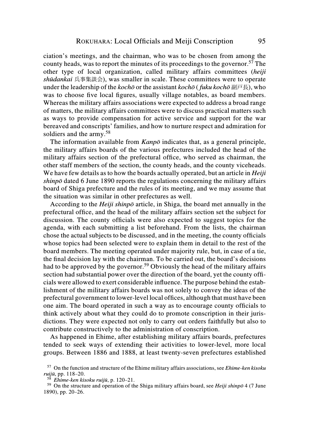ciation's meetings, and the chairman, who was to be chosen from among the county heads, was to report the minutes of its proceedings to the governor.<sup>57</sup> The other type of local organization, called military affairs committees (heiji shûdankai 兵事集談会), was smaller in scale. These committees were to operate under the leadership of the kochō or the assistant kochō ( fuku kochō 副戸長), who was to choose five local figures, usually village notables, as board members. Whereas the military affairs associations were expected to address a broad range of matters, the military affairs committees were to discuss practical matters such as ways to provide compensation for active service and support for the war bereaved and conscripts' families, and how to nurture respect and admiration for soldiers and the army.<sup>58</sup>

The information available from  $Kan p\bar{o}$  indicates that, as a general principle, the military affairs boards of the various prefectures included the head of the military affairs section of the prefectural office, who served as chairman, the other staff members of the section, the county heads, and the county viceheads. We have few details as to how the boards actually operated, but an article in *Heiji* shinpo dated 6 June 1890 reports the regulations concerning the military affairs board of Shiga prefecture and the rules of its meeting, and we may assume that the situation was similar in other prefectures as well.

According to the *Heiji shinpo* article, in Shiga, the board met annually in the prefectural office, and the head of the military affairs section set the subject for discussion. The county officials were also expected to suggest topics for the agenda, with each submitting a list beforehand. From the lists, the chairman chose the actual subjects to be discussed, and in the meeting, the county officials whose topics had been selected were to explain them in detail to the rest of the board members. The meeting operated under majority rule, but, in case of a tie, the final decision lay with the chairman. To be carried out, the board's decisions had to be approved by the governor.<sup>59</sup> Obviously the head of the military affairs section had substantial power over the direction of the board, yet the county officials were allowed to exert considerable influence. The purpose behind the establishment of the military affairs boards was not solely to convey the ideas of the prefectural government to lower-level local offices, although that must have been one aim. The board operated in such a way as to encourage county officials to think actively about what they could do to promote conscription in their jurisdictions. They were expected not only to carry out orders faithfully but also to contribute constructively to the administration of conscription.

As happened in Ehime, after establishing military affairs boards, prefectures tended to seek ways of extending their activities to lower-level, more local groups. Between 1886 and 1888, at least twenty-seven prefectures established

 $57$  On the function and structure of the Ehime military affairs associations, see *Ehime-ken kisoku* ruijû, pp. 118–20.

 $^{58}$  Ehime-ken kisoku ruijū, p. 120–21.

 $59$  On the structure and operation of the Shiga military affairs board, see Heiji shinpō 4 (7 June 1890), pp. 20–26.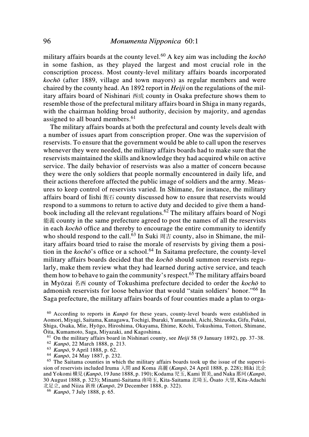military affairs boards at the county level.<sup>60</sup> A key aim was including the *kocho* in some fashion, as they played the largest and most crucial role in the conscription process. Most county-level military affairs boards incorporated kochô (after 1889, village and town mayors) as regular members and were chaired by the county head. An 1892 report in *Heiji* on the regulations of the military affairs board of Nishinari 西成 county in Osaka prefecture shows them to resemble those of the prefectural military affairs board in Shiga in many regards, with the chairman holding broad authority, decision by majority, and agendas assigned to all board members.<sup>61</sup>

The military affairs boards at both the prefectural and county levels dealt with a number of issues apart from conscription proper. One was the supervision of reservists. To ensure that the government would be able to call upon the reserves whenever they were needed, the military affairs boards had to make sure that the reservists maintained the skills and knowledge they had acquired while on active service. The daily behavior of reservists was also a matter of concern because they were the only soldiers that people normally encountered in daily life, and their actions therefore affected the public image of soldiers and the army. Measures to keep control of reservists varied. In Shimane, for instance, the military affairs board of Iishi 飯石 county discussed how to ensure that reservists would respond to a summons to return to active duty and decided to give them a handbook including all the relevant regulations.<sup>62</sup> The military affairs board of Nogi 能義 county in the same prefecture agreed to post the names of all the reservists in each  $koch\bar{o}$  office and thereby to encourage the entire community to identify who should respond to the call.<sup>63</sup> In Suki <sub>周吉</sub> county, also in Shimane, the military affairs board tried to raise the morale of reservists by giving them a position in the  $koch\bar{o}$ 's office or a school.<sup>64</sup> In Saitama prefecture, the county-level military affairs boards decided that the  $koch\bar{o}$  should summon reservists regularly, make them review what they had learned during active service, and teach them how to behave to gain the community's respect.<sup>65</sup> The military affairs board in Myôzai 名西 county of Tokushima prefecture decided to order the kochô to admonish reservists for loose behavior that would "stain soldiers' honor."<sup>66</sup> In Saga prefecture, the military affairs boards of four counties made a plan to orga-

 $60$  According to reports in Kanpō for these years, county-level boards were established in Aomori, Miyagi, Saitama, Kanagawa, Tochigi, Ibaraki, Yamanashi, Aichi, Shizuoka, Gifu, Fukui, Shiga, Osaka, Mie, Hyôgo, Hiroshima, Okayama, Ehime, Kôchi, Tokushima, Tottori, Shimane, Ôita, Kumamoto, Saga, Miyazaki, and Kagoshima.

<sup>61</sup> On the military affairs board in Nishinari county, see *Heiji* 58 (9 January 1892), pp. 37–38.<br><sup>62</sup> Kanpô, 22 March 1888, p. 213.<br><sup>63</sup> Kanpô, 9 April 1888, p. 62.<br><sup>64</sup> Kanpô, 24 May 1887, p. 232.

<sup>65</sup> The Saitama counties in which the military affairs boards took up the issue of the supervision of reservists included Iruma 入間 and Koma 高麗 (Kanpō, 24 April 1888, p. 228); Hiki 比企 and Yokomi 横見 (Kanpō, 19 June 1888, p. 190); Kodama 児玉, Kami 賀美, and Naka 那珂 (Kanpō, 30 August 1888, p. 323); Minami-Saitama 南埼玉, Kita-Saitama 北埼玉, Ôsato 大里, Kita-Adachi 北足立, and Niiza 新座 (Kanpō, 29 December 1888, p. 322).  $^{66}$  Kanpō, 7 July 1888, p. 65.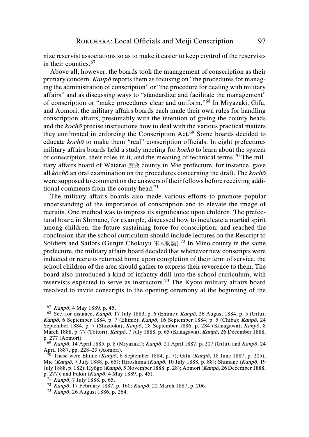nize reservist associations so as to make it easier to keep control of the reservists in their counties.<sup>67</sup>

Above all, however, the boards took the management of conscription as their primary concern. Kanpo reports them as focusing on "the procedures for managing the administration of conscription" or "the procedure for dealing with military affairs" and as discussing ways to "standardize and facilitate the management" of conscription or "make procedures clear and uniform."68 In Miyazaki, Gifu, and Aomori, the military affairs boards each made their own rules for handling conscription affairs, presumably with the intention of giving the county heads and the kochô precise instructions how to deal with the various practical matters they confronted in enforcing the Conscription Act.69 Some boards decided to educate kochō to make them "real" conscription officials. In eight prefectures military affairs boards held a study meeting for  $koch\bar{o}$  to learn about the system of conscription, their roles in it, and the meaning of technical terms.<sup>70</sup> The military affairs board of Watarai 度会 county in Mie prefecture, for instance, gave all kochō an oral examination on the procedures concerning the draft. The kochō were supposed to comment on the answers of their fellows before receiving additional comments from the county head.<sup>71</sup>

The military affairs boards also made various efforts to promote popular understanding of the importance of conscription and to elevate the image of recruits. One method was to impress its significance upon children. The prefectural board in Shimane, for example, discussed how to inculcate a martial spirit among children, the future sustaining force for conscription, and reached the conclusion that the school curriculum should include lectures on the Rescript to Soldiers and Sailors (Gunjin Chokuyu 軍人勅諭).<sup>72</sup> In Mino county in the same prefecture, the military affairs board decided that whenever new conscripts were inducted or recruits returned home upon completion of their term of service, the school children of the area should gather to express their reverence to them. The board also introduced a kind of infantry drill into the school curriculum, with reservists expected to serve as instructors.<sup>73</sup> The Kyoto military affairs board resolved to invite conscripts to the opening ceremony at the beginning of the

<sup>&</sup>lt;sup>67</sup> Kanpō, 4 May 1889, p. 45.<br><sup>68</sup> See, for instance, *Kanpō*, 17 July 1883, p. 6 (Ehime); *Kanpō*, 26 August 1884, p. 5 (Gifu); Kanpô, 6 September 1884, p. 7 (Ehime); Kanpô, 16 September 1884, p. 5 (Chiba); Kanpô, 24 September 1884, p. 7 (Shizuoka); Kanpô, 28 September 1886, p. 284 (Kanagawa); Kanpô, 8 March 1888, p. 77 (Tottori); Kanpô, 7 July 1888, p. 65 (Kanagawa); Kanpô, 26 December 1888, p. 277 (Aomori).

<sup>69</sup> Kanpô, 14 April 1885, p. 8 (Miyazaki); Kanpô, 21 April 1887, p. 207 (Gifu); and Kanpô, 24 April 1887, pp. 228–29 (Aomori).

<sup>&</sup>lt;sup>10</sup> These were Ehime (Kanpō, 6 September 1884, p. 7); Gifu (Kanpō, 18 June 1887, p. 205); Mie (Kanpô, 7 July 1888, p. 65); Hiroshima (Kanpô, 10 July 1888, p. 88); Shimane (Kanpô, 19 July 1888, p. 182); Hyōgo (*Kanpō*, 5 November 1888, p. 28); Aomori (*Kanpō*, 26 December 1888, p. 277); and Fukui (*Kanpō*, 4 May 1889, p. 45).

<sup>&</sup>lt;sup>71</sup> Kanpō, 7 July 1888, p. 65.<br><sup>72</sup> Kanpō, 17 February 1887, p. 160; Kanpō, 22 March 1887, p. 206. <sup>73</sup> Kanpō, 26 August 1886, p. 264.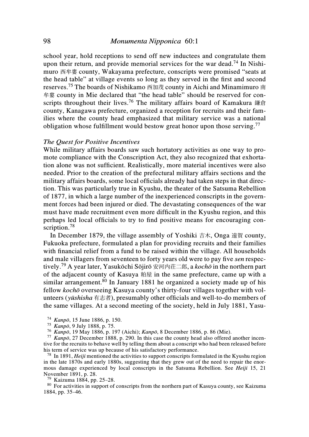school year, hold receptions to send off new inductees and congratulate them upon their return, and provide memorial services for the war dead.<sup>74</sup> In Nishimuro 西牟婁 county, Wakayama prefecture, conscripts were promised "seats at the head table" at village events so long as they served in the first and second reserves.75 The boards of Nishikamo 西加茂 county in Aichi and Minamimuro 南 牟婁 county in Mie declared that "the head table" should be reserved for conscripts throughout their lives.<sup>76</sup> The military affairs board of Kamakura 鎌倉 county, Kanagawa prefecture, organized a reception for recruits and their families where the county head emphasized that military service was a national obligation whose fulfillment would bestow great honor upon those serving.<sup>77</sup>

#### The Quest for Positive Incentives

While military affairs boards saw such hortatory activities as one way to promote compliance with the Conscription Act, they also recognized that exhortation alone was not sufficient. Realistically, more material incentives were also needed. Prior to the creation of the prefectural military affairs sections and the military affairs boards, some local officials already had taken steps in that direction. This was particularly true in Kyushu, the theater of the Satsuma Rebellion of 1877, in which a large number of the inexperienced conscripts in the government forces had been injured or died. The devastating consequences of the war must have made recruitment even more difficult in the Kyushu region, and this perhaps led local officials to try to find positive means for encouraging conscription.<sup>78</sup>

In December 1879, the village assembly of Yoshiki 吉木, Onga 遠賀 county, Fukuoka prefecture, formulated a plan for providing recruits and their families with financial relief from a fund to be raised within the village. All households and male villagers from seventeen to forty years old were to pay five sen respectively.<sup>79</sup> A year later, Yasukōchi Sōjirō 安河内荘二郎, a *kochō* in the northern part of the adjacent county of Kasuya 粕屋 in the same prefecture, came up with a similar arrangement.<sup>80</sup> In January 1881 he organized a society made up of his fellow kochô overseeing Kasuya county's thirty-four villages together with volunteers (yûshisha 有志者), presumably other officials and well-to-do members of the same villages. At a second meeting of the society, held in July 1881, Yasu-

<sup>74</sup> *Kanpō*, 15 June 1886, p. 150.<br><sup>75</sup> *Kanpō*, 9 July 1888, p. 75.

<sup>75</sup> Kanpō, 9 July 1888, p. 75.<br><sup>76</sup> Kanpō, 19 May 1886, p. 197 (Aichi); Kanpō, 8 December 1886, p. 86 (Mie).<br><sup>77</sup> Kanpō, 27 December 1888, p. 290. In this case the county head also offered another incentive for the recruits to behave well by telling them about a conscript who had been released before his term of service was up because of his satisfactory performance.

 $^{78}$  In 1891, Heiji mentioned the activities to support conscripts formulated in the Kyushu region in the late 1870s and early 1880s, suggesting that they grew out of the need to repair the enormous damage experienced by local conscripts in the Satsuma Rebellion. See *Heiji* 15, 21 November 1891, p. 28.<br><sup>79</sup> Kaizuma 1884, pp. 25–28.

<sup>80</sup> For activities in support of conscripts from the northern part of Kasuya county, see Kaizuma 1884, pp. 35–46.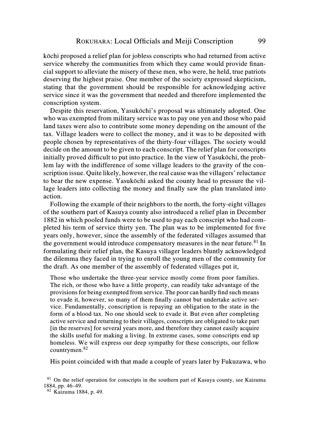kôchi proposed a relief plan for jobless conscripts who had returned from active service whereby the communities from which they came would provide financial support to alleviate the misery of these men, who were, he held, true patriots deserving the highest praise. One member of the society expressed skepticism, stating that the government should be responsible for acknowledging active service since it was the government that needed and therefore implemented the conscription system.

Despite this reservation, Yasukôchi's proposal was ultimately adopted. One who was exempted from military service was to pay one yen and those who paid land taxes were also to contribute some money depending on the amount of the tax. Village leaders were to collect the money, and it was to be deposited with people chosen by representatives of the thirty-four villages. The society would decide on the amount to be given to each conscript. The relief plan for conscripts initially proved difficult to put into practice. In the view of Yasukôchi, the problem lay with the indifference of some village leaders to the gravity of the conscription issue. Quite likely, however, the real cause was the villagers' reluctance to bear the new expense. Yasukôchi asked the county head to pressure the village leaders into collecting the money and finally saw the plan translated into action.

Following the example of their neighbors to the north, the forty-eight villages of the southern part of Kasuya county also introduced a relief plan in December 1882 in which pooled funds were to be used to pay each conscript who had completed his term of service thirty yen. The plan was to be implemented for five years only, however, since the assembly of the federated villages assumed that the government would introduce compensatory measures in the near future.<sup>81</sup> In formulating their relief plan, the Kasuya villager leaders bluntly acknowledged the dilemma they faced in trying to enroll the young men of the community for the draft. As one member of the assembly of federated villages put it,

Those who undertake the three-year service mostly come from poor families. The rich, or those who have a little property, can readily take advantage of the provisions for being exempted from service. The poor can hardly find such means to evade it, however, so many of them finally cannot but undertake active service. Fundamentally, conscription is repaying an obligation to the state in the form of a blood tax. No one should seek to evade it. But even after completing active service and returning to their villages, conscripts are obligated to take part [in the reserves] for several years more, and therefore they cannot easily acquire the skills useful for making a living. In extreme cases, some conscripts end up homeless. We will express our deep sympathy for these conscripts, our fellow countrymen.82

His point coincided with that made a couple of years later by Fukuzawa, who

 $81$  On the relief operation for conscripts in the southern part of Kasuya county, see Kaizuma 1884, pp. 46–49.

<sup>82</sup> Kaizuma 1884, p. 49.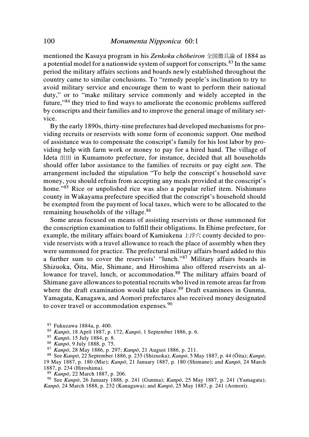mentioned the Kasuya program in his Zenkoku chôheiron 全国徴兵論 of 1884 as a potential model for a nationwide system of support for conscripts.83 In the same period the military affairs sections and boards newly established throughout the country came to similar conclusions. To "remedy people's inclination to try to avoid military service and encourage them to want to perform their national duty," or to "make military service commonly and widely accepted in the future,"<sup>84</sup> they tried to find ways to ameliorate the economic problems suffered by conscripts and their families and to improve the general image of military service.

By the early 1890s, thirty-nine prefectures had developed mechanisms for providing recruits or reservists with some form of economic support. One method of assistance was to compensate the conscript's family for his lost labor by providing help with farm work or money to pay for a hired hand. The village of Ideta 出田 in Kumamoto prefecture, for instance, decided that all households should offer labor assistance to the families of recruits or pay eight sen. The arrangement included the stipulation "To help the conscript's household save money, you should refrain from accepting any meals provided at the conscript's home."<sup>85</sup> Rice or unpolished rice was also a popular relief item. Nishimuro county in Wakayama prefecture specified that the conscript's household should be exempted from the payment of local taxes, which were to be allocated to the remaining households of the village.<sup>86</sup>

Some areas focused on means of assisting reservists or those summoned for the conscription examination to fulfill their obligations. In Ehime prefecture, for example, the military affairs board of Kamiukena 上浮穴 county decided to provide reservists with a travel allowance to reach the place of assembly when they were summoned for practice. The prefectural military affairs board added to this a further sum to cover the reservists' "lunch."87 Military affairs boards in Shizuoka, Ôita, Mie, Shimane, and Hiroshima also offered reservists an allowance for travel, lunch, or accommodation.<sup>88</sup> The military affairs board of Shimane gave allowances to potential recruits who lived in remote areas far from where the draft examination would take place.<sup>89</sup> Draft examinees in Gunma, Yamagata, Kanagawa, and Aomori prefectures also received money designated to cover travel or accommodation expenses.<sup>90</sup>

<sup>90</sup> See Kanpō, 26 January 1888, p. 241 (Gunma); Kanpō, 25 May 1887, p. 241 (Yamagata); Kanpô, 24 March 1888, p. 232 (Kanagawa); and Kanpô, 25 May 1887, p. 241 (Aomori).

<sup>&</sup>lt;sup>83</sup> Fukuzawa 1884a, p. 400.<br><sup>84</sup> *Kanpō*, 18 April 1887, p. 172; *Kanpō*, 1 September 1886, p. 6.<br><sup>85</sup> *Kanpō*, 15 July 1884, p. 8.

<sup>&</sup>lt;sup>86</sup> Kanpô, 9 July 1888, p. 75.<br><sup>87</sup> Kanpô, 28 May 1886, p. 297; Kanpô, 21 August 1886, p. 211.<br><sup>88</sup> See Kanpô, 22 September 1886, p. 235 (Shizuoka); Kanpô, 5 May 1887, p. 44 (Ōita); Kanpô, 19 May 1887, p. 180 (Mie); Kanpô, 21 January 1887, p. 180 (Shimane); and Kanpô, 24 March 1887, p. 234 (Hiroshima).<br><sup>89</sup> *Kanpō*, 22 March 1887, p. 206.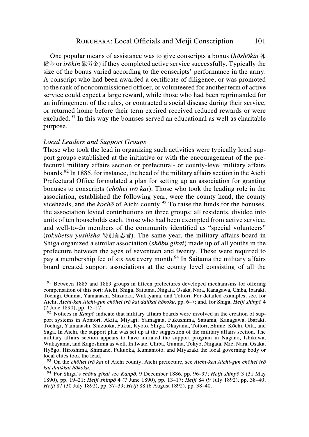One popular means of assistance was to give conscripts a bonus ( $h\bar{\sigma}sh\bar{\sigma}kin \#$ ) 償金 or irôkin 慰労金) if they completed active service successfully. Typically the size of the bonus varied according to the conscripts' performance in the army. A conscript who had been awarded a certificate of diligence, or was promoted to the rank of noncommissioned officer, or volunteered for another term of active service could expect a large reward, while those who had been reprimanded for an infringement of the rules, or contracted a social disease during their service, or returned home before their term expired received reduced rewards or were excluded.<sup>91</sup> In this way the bonuses served an educational as well as charitable purpose.

#### Local Leaders and Support Groups

Those who took the lead in organizing such activities were typically local support groups established at the initiative or with the encouragement of the prefectural military affairs section or prefectural- or county-level military affairs boards.<sup>92</sup> In 1885, for instance, the head of the military affairs section in the Aichi Prefectural Office formulated a plan for setting up an association for granting bonuses to conscripts (*chōhei irō kai*). Those who took the leading role in the association, established the following year, were the county head, the county viceheads, and the *kochō* of Aichi county.<sup>93</sup> To raise the funds for the bonuses, the association levied contributions on three groups: all residents, divided into units of ten households each, those who had been exempted from active service, and well-to-do members of the community identified as "special volunteers" (tokubetsu yûshisha 特別有志者). The same year, the military affairs board in Shiga organized a similar association (shōbu gikai) made up of all youths in the prefecture between the ages of seventeen and twenty. These were required to pay a membership fee of six sen every month.<sup>94</sup> In Saitama the military affairs board created support associations at the county level consisting of all the

<sup>93</sup> On the *chōhei irō kai* of Aichi county, Aichi prefecture, see Aichi-ken Aichi-gun chōhei irō kai daiikkai hōkoku.

<sup>94</sup> For Shiga's shōbu gikai see Kanpō, 9 December 1886, pp. 96–97; Heiji shinpō 3 (31 May 1890), pp. 19–21; Heiji shinpô 4 (7 June 1890), pp. 13–17; Heiji 84 (9 July 1892), pp. 38–40; Heiji 87 (30 July 1892), pp. 37–39; Heiji 88 (6 August 1892), pp. 38–40.

<sup>&</sup>lt;sup>91</sup> Between 1885 and 1889 groups in fifteen prefectures developed mechanisms for offering compensation of this sort: Aichi, Shiga, Saitama, Niigata, Osaka, Nara, Kanagawa, Chiba, Ibaraki, Tochigi, Gunma, Yamanashi, Shizuoka, Wakayama, and Tottori. For detailed examples, see, for Aichi, Aichi-ken Aichi-gun chôhei irô kai daiikai hôkoku, pp. 6–7; and, for Shiga, Heiji shinpô 4 (7 June 1890), pp. 15–17.

 $92$  Notices in Kanpō indicate that military affairs boards were involved in the creation of support systems in Aomori, Akita, Miyagi, Yamagata, Fukushima, Saitama, Kanagawa, Ibaraki, Tochigi, Yamanashi, Shizuoka, Fukui, Kyoto, Shiga, Okayama, Tottori, Ehime, Kôchi, Ôita, and Saga. In Aichi, the support plan was set up at the suggestion of the military affairs section. The military affairs section appears to have initiated the support program in Nagano, Ishikawa, Wakayama, and Kagoshima as well. In Iwate, Chiba, Gunma, Tokyo, Niigata, Mie, Nara, Osaka, Hyôgo, Hiroshima, Shimane, Fukuoka, Kumamoto, and Miyazaki the local governing body or local elites took the lead.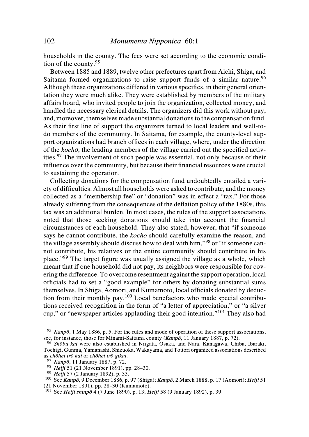households in the county. The fees were set according to the economic condition of the county.95

Between 1885 and 1889, twelve other prefectures apart from Aichi, Shiga, and Saitama formed organizations to raise support funds of a similar nature.<sup>96</sup> Although these organizations differed in various specifics, in their general orientation they were much alike. They were established by members of the military affairs board, who invited people to join the organization, collected money, and handled the necessary clerical details. The organizers did this work without pay, and, moreover, themselves made substantial donations to the compensation fund. As their first line of support the organizers turned to local leaders and well-todo members of the community. In Saitama, for example, the county-level support organizations had branch offices in each village, where, under the direction of the kochô, the leading members of the village carried out the specified activities.<sup>97</sup> The involvement of such people was essential, not only because of their influence over the community, but because their financial resources were crucial to sustaining the operation.

Collecting donations for the compensation fund undoubtedly entailed a variety of difficulties. Almost all households were asked to contribute, and the money collected as a "membership fee" or "donation" was in effect a "tax." For those already suffering from the consequences of the deflation policy of the 1880s, this tax was an additional burden. In most cases, the rules of the support associations noted that those seeking donations should take into account the financial circumstances of each household. They also stated, however, that "if someone says he cannot contribute, the  $koch\bar{o}$  should carefully examine the reason, and the village assembly should discuss how to deal with him,"<sup>98</sup> or "if someone cannot contribute, his relatives or the entire community should contribute in his place."<sup>99</sup> The target figure was usually assigned the village as a whole, which meant that if one household did not pay, its neighbors were responsible for covering the difference. To overcome resentment against the support operation, local officials had to set a "good example" for others by donating substantial sums themselves. In Shiga, Aomori, and Kumamoto, local officials donated by deduction from their monthly pay.<sup>100</sup> Local benefactors who made special contributions received recognition in the form of "a letter of appreciation," or "a silver cup," or "newspaper articles applauding their good intention."101 They also had

<sup>&</sup>lt;sup>95</sup> Kanpō, 1 May 1886, p. 5. For the rules and mode of operation of these support associations, see, for instance, those for Minami-Saitama county (Kanpō, 11 January 1887, p. 72).

<sup>96</sup> Shôbu kai were also established in Niigata, Osaka, and Nara. Kanagawa, Chiba, Ibaraki, Tochigi, Gunma, Yamanashi, Shizuoka, Wakayama, and Tottori organized associations described as *chohei iro kai* or *chohei iro gikai*.

<sup>&</sup>lt;sup>97</sup> Kanpō, 11 January 1887, p. 72.<br><sup>98</sup> Heiji 51 (21 November 1891), pp. 28–30.<br><sup>99</sup> Heiji 57 (2 January 1892), p. 33.<br><sup>100</sup> See Kanpō, 9 December 1886, p. 97 (Shiga); Kanpō, 2 March 1888, p. 17 (Aomori); Heiji 51 (21 November 1891), pp. 28–30 (Kumamoto).

<sup>&</sup>lt;sup>101</sup> See Heiji shinpō 4 (7 June 1890), p. 13; Heiji 58 (9 January 1892), p. 39.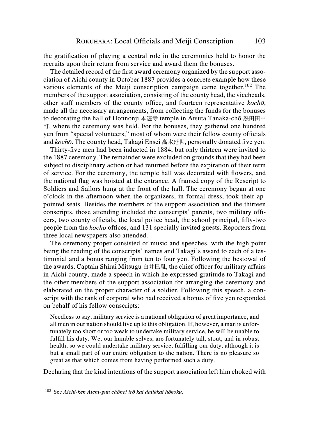the gratification of playing a central role in the ceremonies held to honor the recruits upon their return from service and award them the bonuses.

The detailed record of the first award ceremony organized by the support association of Aichi county in October 1887 provides a concrete example how these various elements of the Meiji conscription campaign came together.<sup>102</sup> The members of the support association, consisting of the county head, the viceheads, other staff members of the county office, and fourteen representative kochô, made all the necessary arrangements, from collecting the funds for the bonuses to decorating the hall of Honnonji 本遠寺 temple in Atsuta Tanaka-chô 熱田田中 町, where the ceremony was held. For the bonuses, they gathered one hundred yen from "special volunteers," most of whom were their fellow county officials and kochô. The county head, Takagi Ensei 高木延世, personally donated five yen.

Thirty-five men had been inducted in 1884, but only thirteen were invited to the 1887 ceremony. The remainder were excluded on grounds that they had been subject to disciplinary action or had returned before the expiration of their term of service. For the ceremony, the temple hall was decorated with flowers, and the national flag was hoisted at the entrance. A framed copy of the Rescript to Soldiers and Sailors hung at the front of the hall. The ceremony began at one o'clock in the afternoon when the organizers, in formal dress, took their appointed seats. Besides the members of the support association and the thirteen conscripts, those attending included the conscripts' parents, two military officers, two county officials, the local police head, the school principal, fifty-two people from the kochô offices, and 131 specially invited guests. Reporters from three local newspapers also attended.

The ceremony proper consisted of music and speeches, with the high point being the reading of the conscripts' names and Takagi's award to each of a testimonial and a bonus ranging from ten to four yen. Following the bestowal of the awards, Captain Shirai Mitsugu 白井巳胤, the chief officer for military affairs in Aichi county, made a speech in which he expressed gratitude to Takagi and the other members of the support association for arranging the ceremony and elaborated on the proper character of a soldier. Following this speech, a conscript with the rank of corporal who had received a bonus of five yen responded on behalf of his fellow conscripts:

Needless to say, military service is a national obligation of great importance, and all men in our nation should live up to this obligation. If, however, a man is unfortunately too short or too weak to undertake military service, he will be unable to fulfill his duty. We, our humble selves, are fortunately tall, stout, and in robust health, so we could undertake military service, fulfilling our duty, although it is but a small part of our entire obligation to the nation. There is no pleasure so great as that which comes from having performed such a duty.

Declaring that the kind intentions of the support association left him choked with

 $102$  See Aichi-ken Aichi-gun chōhei irō kai daiikkai hōkoku.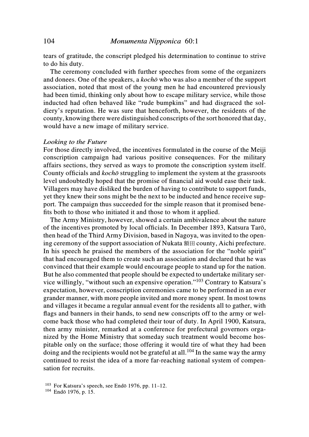tears of gratitude, the conscript pledged his determination to continue to strive to do his duty.

The ceremony concluded with further speeches from some of the organizers and donees. One of the speakers, a kochô who was also a member of the support association, noted that most of the young men he had encountered previously had been timid, thinking only about how to escape military service, while those inducted had often behaved like "rude bumpkins" and had disgraced the soldiery's reputation. He was sure that henceforth, however, the residents of the county, knowing there were distinguished conscripts of the sort honored that day, would have a new image of military service.

#### Looking to the Future

For those directly involved, the incentives formulated in the course of the Meiji conscription campaign had various positive consequences. For the military affairs sections, they served as ways to promote the conscription system itself. County officials and  $koch\bar{o}$  struggling to implement the system at the grassroots level undoubtedly hoped that the promise of financial aid would ease their task. Villagers may have disliked the burden of having to contribute to support funds, yet they knew their sons might be the next to be inducted and hence receive support. The campaign thus succeeded for the simple reason that it promised benefits both to those who initiated it and those to whom it applied.

The Army Ministry, however, showed a certain ambivalence about the nature of the incentives promoted by local officials. In December 1893, Katsura Tarô, then head of the Third Army Division, based in Nagoya, was invited to the opening ceremony of the support association of Nukata 額田 county, Aichi prefecture. In his speech he praised the members of the association for the "noble spirit" that had encouraged them to create such an association and declared that he was convinced that their example would encourage people to stand up for the nation. But he also commented that people should be expected to undertake military service willingly, "without such an expensive operation."103 Contrary to Katsura's expectation, however, conscription ceremonies came to be performed in an ever grander manner, with more people invited and more money spent. In most towns and villages it became a regular annual event for the residents all to gather, with flags and banners in their hands, to send new conscripts off to the army or welcome back those who had completed their tour of duty. In April 1900, Katsura, then army minister, remarked at a conference for prefectural governors organized by the Home Ministry that someday such treatment would become hospitable only on the surface; those offering it would tire of what they had been doing and the recipients would not be grateful at all.<sup>104</sup> In the same way the army continued to resist the idea of a more far-reaching national system of compensation for recruits.

<sup>&</sup>lt;sup>103</sup> For Katsura's speech, see Endō 1976, pp. 11–12.<br><sup>104</sup> Endō 1976, p. 15.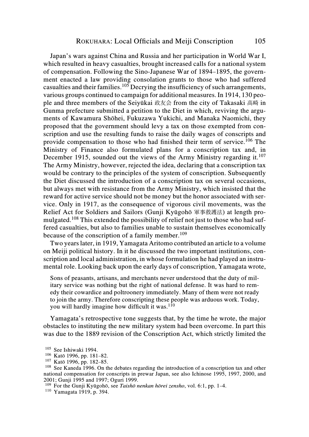Japan's wars against China and Russia and her participation in World War I, which resulted in heavy casualties, brought increased calls for a national system of compensation. Following the Sino-Japanese War of 1894–1895, the government enacted a law providing consolation grants to those who had suffered casualties and their families.<sup>105</sup> Decrying the insufficiency of such arrangements, various groups continued to campaign for additional measures. In 1914, 130 people and three members of the Seiyûkai 政友会 from the city of Takasaki 高崎 in Gunma prefecture submitted a petition to the Diet in which, reviving the arguments of Kawamura Shôhei, Fukuzawa Yukichi, and Manaka Naomichi, they proposed that the government should levy a tax on those exempted from conscription and use the resulting funds to raise the daily wages of conscripts and provide compensation to those who had finished their term of service.<sup>106</sup> The Ministry of Finance also formulated plans for a conscription tax and, in December 1915, sounded out the views of the Army Ministry regarding it.<sup>107</sup> The Army Ministry, however, rejected the idea, declaring that a conscription tax would be contrary to the principles of the system of conscription. Subsequently the Diet discussed the introduction of a conscription tax on several occasions, but always met with resistance from the Army Ministry, which insisted that the reward for active service should not be money but the honor associated with service. Only in 1917, as the consequence of vigorous civil movements, was the Relief Act for Soldiers and Sailors (Gunji Kyûgohô 軍事救護法) at length promulgated.<sup>108</sup> This extended the possibility of relief not just to those who had suffered casualties, but also to families unable to sustain themselves economically because of the conscription of a family member.<sup>109</sup>

Two years later, in 1919, Yamagata Aritomo contributed an article to a volume on Meiji political history. In it he discussed the two important institutions, conscription and local administration, in whose formulation he had played an instrumental role. Looking back upon the early days of conscription, Yamagata wrote,

Sons of peasants, artisans, and merchants never understood that the duty of military service was nothing but the right of national defense. It was hard to remedy their cowardice and poltroonery immediately. Many of them were not ready to join the army. Therefore conscripting these people was arduous work. Today, you will hardly imagine how difficult it was.<sup>110</sup>

Yamagata's retrospective tone suggests that, by the time he wrote, the major obstacles to instituting the new military system had been overcome. In part this was due to the 1889 revision of the Conscription Act, which strictly limited the

<sup>&</sup>lt;sup>105</sup> See Ishiwaki 1994.<br><sup>106</sup> Katō 1996, pp. 181–82.<br><sup>107</sup> Katō 1996, pp. 182–85.<br><sup>108</sup> See Kaneda 1996. On the debates regarding the introduction of a conscription tax and other national compensation for conscripts in prewar Japan, see also Ichinose 1995, 1997, 2000, and 2001; Gunji 1995 and 1997; Oguri 1999.

<sup>&</sup>lt;sup>109</sup> For the Gunji Kyūgohō, see *Taishō nenkan hōrei zensho*, vol. 6:1, pp. 1–4.<br><sup>110</sup> Yamagata 1919, p. 394.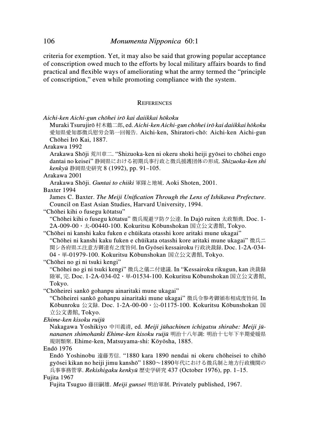criteria for exemption. Yet, it may also be said that growing popular acceptance of conscription owed much to the efforts by local military affairs boards to find practical and flexible ways of ameliorating what the army termed the "principle of conscription," even while promoting compliance with the system.

## **REFERENCES**

Aichi-ken Aichi-gun chôhei irô kai daiikkai hôkoku

Muraki Tsurujirô 村木鶴二郎, ed. Aichi-ken Aichi-gun chôhei irô kai daiikkai hôkoku 愛知県愛知郡徴兵慰労会第一回報告. Aichi-ken, Shiratori-chô: Aichi-ken Aichi-gun Chôhei Irô Kai, 1887.

Arakawa 1992

Arakawa Shôji 荒川章二. "Shizuoka-ken ni okeru shoki heiji gyôsei to chôhei engo dantai no keisei" 静岡県における初期兵事行政と徴兵援護団体の形成. Shizuoka-ken shi kenkyû 静岡県史研究 8 (1992), pp. 91–105.

Arakawa 2001

Arakawa Shôji. Guntai to chiiki 軍隊と地域. Aoki Shoten, 2001.

Baxter 1994

James C. Baxter. The Meiji Unification Through the Lens of Ishikawa Prefecture. Council on East Asian Studies, Harvard University, 1994.

"Chôhei kihi o fusegu kôtatsu"

"Chôhei kihi o fusegu kôtatsu" 徴兵規避ヲ防ク公達. In Dajô ruiten 太政類典. Doc. 1- 2A-009-00・太-00440-100. Kokuritsu Kôbunshokan 国立公文書館, Tokyo.

"Chôhei ni kanshi kaku fuken e chûikata otasshi kore aritaki mune ukagai" "Chôhei ni kanshi kaku fuken e chûikata otasshi kore aritaki mune ukagai" 徴兵ニ 関シ各府県エ注意方御達有之度旨伺. In Gyôsei kessairoku 行政決裁録. Doc. 1-2A-034- 04・単-01979-100. Kokuritsu Kôbunshokan 国立公文書館, Tokyo.

"Chôhei no gi ni tsuki kengi"

"Chôhei no gi ni tsuki kengi" 徴兵之儀ニ付建議. In "Kessairoku rikugun, kan 決裁録 陸軍, 完. Doc. 1-2A-034-02・単-01534-100. Kokuritsu Kôbunshokan 国立公文書館, Tokyo.

"Chôheirei sankô gohanpu ainaritaki mune ukagai"

"Chôheirei sankô gohanpu ainaritaki mune ukagai" 徴兵令参考御頒布相成度旨伺. In Kôbunroku 公文録. Doc. 1-2A-00-00・公-01175-100. Kokuritsu Kôbunshokan 国 立公文書館, Tokyo.

Ehime-ken kisoku ruijû

Nakagawa Yoshikiyo 中川義清, ed. Meiji jūhachinen ichigatsu shirabe: Meiji jūnananen shimohanki Ehime-ken kisoku ruijū 明治十八年調: 明治十七年下半期愛媛県 規則類聚. Ehime-ken, Matsuyama-shi: Kōyōsha, 1885.

Endô 1976

Endô Yoshinobu 遠藤芳信. "1880 kara 1890 nendai ni okeru chôheisei to chihô gyôsei kikan no heiji jimu kanshô" 1880~1890年代における徴兵制と地方行政機関の 兵事事務管掌. Rekishigaku kenkyû 歴史学研究 437 (October 1976), pp. 1–15.

## Fujita 1967

Fujita Tsuguo 藤田嗣雄. Meiji gunsei 明治軍制. Privately published, 1967.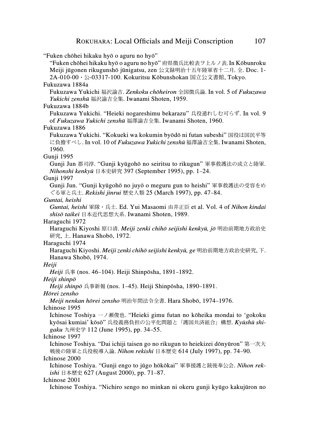"Fuken chôhei hikaku hyô o aguru no hyô" "Fuken chôhei hikaku hyô o aguru no hyô" 府県徴兵比較表ヲ上ルノ表. In Kôbunroku Meiji jûgonen rikugunshô jûnigatsu, zen 公文録明治十五年陸軍省十二月, 全. Doc. 1- 2A-010-00・公-03317-100. Kokuritsu Kôbunshokan 国立公文書館, Tokyo. Fukuzawa 1884a Fukuzawa Yukichi 福沢諭吉. Zenkoku chōheiron 全国徴兵論. In vol. 5 of Fukuzawa Yukichi zenshû 福沢諭吉全集. Iwanami Shoten, 1959. Fukuzawa 1884b Fukuzawa Yukichi. "Heieki nogareshimu bekarazu" 兵役遁れしむ可らず. In vol. 9 of Fukuzawa Yukichi zenshû 福澤諭吉全集. Iwanami Shoten, 1960. Fukuzawa 1886 Fukuzawa Yukichi. "Kokueki wa kokumin byôdô ni futan subeshi" 国役は国民平等 に負擔すべし. In vol. 10 of Fukuzawa Yukichi zenshû 福澤諭吉全集. Iwanami Shoten, 1960. Gunji 1995 Gunji Jun 郡司淳. "Gunji kyûgohô no seiritsu to rikugun" 軍事救護法の成立と陸軍. Nihonshi kenkyû 日本史研究 397 (September 1995), pp. 1–24. Gunji 1997 Gunji Jun. "Gunji kyûgohô no juyô o meguru gun to heishi" 軍事救護法の受容をめ ぐる軍と兵士. Rekishi jinrui 歴史人類 25 (March 1997), pp. 47–84. Guntai, heishi Guntai, heishi 軍隊・兵士. Ed. Yui Masaomi 由井正臣 et al. Vol. 4 of Nihon kindai shisô taikei 日本近代思想大系. Iwanami Shoten, 1989. Haraguchi 1972 Haraguchi Kiyoshi 原口清. Meiji zenki chihō seijishi kenkyū, jō 明治前期地方政治史 研究, 上. Hanawa Shobô, 1972. Haraguchi 1974 Haraguchi Kiyoshi. Meiji zenki chihō seijishi kenkyū, ge 明治前期地方政治史研究, 下. Hanawa Shobô, 1974.

#### Heiji

Heiji 兵事 (nos. 46–104). Heiji Shinpōsha, 1891–1892.

Heiji shinpô

Heiji shinpō 兵事新報 (nos. 1-45). Heiji Shinpōsha, 1890-1891.

Hôrei zensho

Meiji nenkan hôrei zensho 明治年間法令全書. Hara Shobô, 1974–1976.

Ichinose 1995

Ichinose Toshiya 一ノ瀬俊也. "Heieki gimu futan no kôheika mondai to 'gokoku kyôsai kumiai' kôsô" 兵役義務負担の公平化問題と「護国共済組合」構想. Kyûshû shigaku 九州史学 112 (June 1995), pp. 34–55.

## Ichinose 1997

Ichinose Toshiya. "Dai ichiji taisen go no rikugun to heiekizei dônyûron" 第一次大 戦後の陸軍と兵役税導入論. Nihon rekishi 日本歴史 614 (July 1997), pp. 74–90.

## Ichinose 2000

Ichinose Toshiya. "Gunji engo to jûgo hôkôkai" 軍事援護と銃後奉公会. Nihon rekishi 日本歴史 627 (August 2000), pp. 71–87.

#### Ichinose 2001

Ichinose Toshiya. "Nichiro sengo no minkan ni okeru gunji kyûgo kakujûron no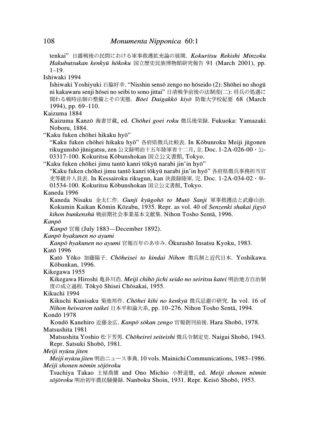tenkai" 日露戦後の民間における軍事救護拡充論の展開. Kokuritsu Rekishi Minzoku Hakubutsukan kenkyû hôkoku 国立歴史民族博物館研究報告 91 (March 2001), pp.  $1-19.$ 

Ishiwaki 1994

Ishiwaki Yoshiyuki 石脇好幸. "Nisshin sensô zengo no hôseido (2): Shôhei no shogû ni kakawaru senji hôsei no seibi to sono jittai" 日清戦争前後の法制度(二): 将兵の処遇に 関わる戦時法制の整備とその実態. Boei Daigakko kiyō 防衛大学校紀要 68 (March 1994), pp. 69–110.

Kaizuma 1884

Kaizuma Kanzô 海妻甘蔵, ed. Chôhei goei roku 徴兵後栄録. Fukuoka: Yamazaki Noboru, 1884.

"Kaku fuken chôhei hikaku hyô"

"Kaku fuken chôhei hikaku hyô" 各府県徴兵比較表. In Kôbunroku Meiji jûgonen rikugunshô jûnigatsu, zen 公文録明治十五年陸軍省十二月, 全. Doc. 1-2A-026-00・公-03317-100. Kokuritsu Kôbunshokan 国立公文書館, Tokyo.

"Kaku fuken chôhei jimu tantô kanri tôkyû narabi jin'in hyô"

"Kaku fuken chôhei jimu tantô kanri tôkyû narabi jin'in hyô" 各府県徴兵事務担当官 吏等級并人員表. In Kessairoku rikugun, kan 決裁録陸軍, 完. Doc. 1-2A-034-02・単-01534-100. Kokuritsu Kôbunshokan 国立公文書館, Tokyo.

Kaneda 1996

Kaneda Nisaku 金太仁作. Gunji kyûgohô to Mutô Sanji 軍事救護法と武藤山治. Kokumin Kaikan Kōmin Kōzabu, 1935. Repr. as vol. 40 of Senzenki shakai jigyō kihon bunkenshû 戦前期社会事業基本文献集. Nihon Tosho Sentâ, 1996.

Kanpô

Kanpô 官報 (July 1883—December 1892).

Kanpô hyakunen no ayumi

Kanpô hyakunen no ayumi 官報百年のあゆみ. Ôkurashô Insatsu Kyoku, 1983. Katô 1996

Katō Yōko 加藤陽子. Chōheisei to kindai Nihon 徴兵制と近代日本. Yoshikawa Kôbunkan, 1996.

Kikegawa 1955

Kikegawa Hiroshi 亀卦川浩. Meiji chihô jichi seido no seiritsu katei 明治地方自治制 度の成立過程. Tôkyô Shisei Chôsakai, 1955.

Kikuchi 1994

Kikuchi Kunisaku 菊池邦作. Chôhei kihi no kenkyû 徴兵忌避の研究. In vol. 16 of Nihon heiwaron taikei 日本平和論大系, pp. 10–276. Nihon Tosho Sentâ, 1994. Kondô 1978

Kondō Kanehiro 近藤金広. Kanpō sōkan zengo 官報創刊前後. Hara Shobō, 1978. Matsushita 1981

Matsushita Yoshio 松下芳男. Chōheirei seiteishi 徴兵令制定史. Naigai Shobō, 1943. Repr. Satsuki Shobô, 1981.

Meiji nyûsu jiten

Meiji nyûsu jiten 明治ニュース事典. 10 vols. Mainichi Communications, 1983–1986. Meiji shonen nômin sôjôroku

Tsuchiya Takao 土屋喬雄 and Ono Michio 小野道雄, ed. Meiji shonen nōmin sôjôroku 明治初年農民騒擾録. Nanboku Shoin, 1931. Repr. Keisô Shobô, 1953.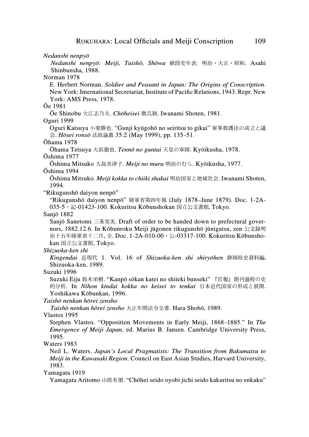Nedanshi nenpyô

Nedanshi nenpyô: Meiji, Taishô, Shôwa 値段史年表: 明治・大正・昭和. Asahi Shinbunsha, 1988.

Norman 1978

E. Herbert Norman. Soldier and Peasant in Japan: The Origins of Conscription. New York: International Secretariat, Institute of Pacific Relations, 1943. Repr. New York: AMS Press, 1978.

Ôe 1981

Ôe Shinobu 大江志乃夫. Chôheisei 徴兵制. Iwanami Shoten, 1981.

Oguri 1999

Oguri Katsuya 小栗勝也. "Gunji kyûgohô no seiritsu to gikai" 軍事救護法の成立と議 会. Hôsei ronsô 法政論叢 35:2 (May 1999), pp. 135–51.

Ôhama 1978

Ôhama Tetsuya 大浜徹也. Tennô no guntai 天皇の軍隊. Kyôikusha, 1978. Ôshima 1977

Ôshima Mitsuko 大島美津子. Meiji no mura 明治のむら. Kyôikusha, 1977. Ôshima 1994

Ôshima Mitsuko. Meiji kokka to chiiki shakai 明治国家と地域社会. Iwanami Shoten, 1994.

"Rikugunshô daiyon nenpô"

"Rikugunshô daiyon nenpô" 陸軍省第四年報 (July 1878–June 1879). Doc. 1-2A-035-5・記-01423-100. Kokuritsu Kôbunshokan 国立公文書館, Tokyo.

Sanjô 1882

Sanjô Sanetomi 三条実美. Draft of order to be handed down to prefectural governors, 1882.12.6. In Kôbunroku Meiji jûgonen rikugunshô jûnigatsu, zen 公文録明 治十五年陸軍省十二月, 全. Doc. 1-2A-010-00・公-03317-100. Kokuritsu Kôbunshokan 国立公文書館, Tokyo.

Shizuoka-ken shi

Kingendai 近現代 1. Vol. 16 of Shizuoka-ken shi shiryôhen 静岡県史資料編. Shizuoka-ken, 1989.

Suzuki 1996

Suzuki Eiju 鈴木栄樹. "Kanpô sôkan katei no shiteki bunseki" 『官報』創刊過程の史 的分析. In Nihon kindai kokka no keisei to tenkai 日本近代国家の形成と展開. Yoshikawa Kôbunkan, 1996.

Taishô nenkan hôrei zensho

Taishô nenkan hôrei zensho 大正年間法令全書. Hara Shobô, 1989.

Vlastos 1995

Stephen Vlastos. "Opposition Movements in Early Meiji, 1868–1885." In The Emergence of Meiji Japan, ed. Marius B. Jansen. Cambridge University Press, 1995.

Waters 1983

Neil L. Waters. Japan's Local Pragmatists: The Transition from Bakumatsu to Meiji in the Kawasaki Region. Council on East Asian Studies, Harvard University, 1983.

Yamagata 1919

Yamagata Aritomo 山県有朋. "Chôhei seido oyobi jichi seido kakuritsu no enkaku"